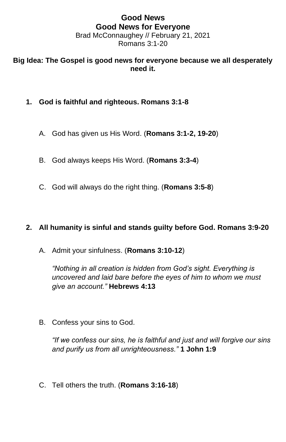## **Good News Good News for Everyone** Brad McConnaughey // February 21, 2021 Romans 3:1-20

## **Big Idea: The Gospel is good news for everyone because we all desperately need it.**

- **1. God is faithful and righteous. Romans 3:1-8**
	- A. God has given us His Word. (**Romans 3:1-2, 19-20**)
	- B. God always keeps His Word. (**Romans 3:3-4**)
	- C. God will always do the right thing. (**Romans 3:5-8**)

## **2. All humanity is sinful and stands guilty before God. Romans 3:9-20**

A. Admit your sinfulness. (**Romans 3:10-12**)

*"Nothing in all creation is hidden from God's sight. Everything is uncovered and laid bare before the eyes of him to whom we must give an account."* **Hebrews 4:13**

B. Confess your sins to God.

*"If we confess our sins, he is faithful and just and will forgive our sins and purify us from all unrighteousness."* **1 John 1:9**

C. Tell others the truth. (**Romans 3:16-18**)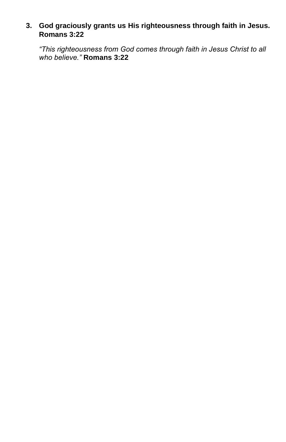## **3. God graciously grants us His righteousness through faith in Jesus. Romans 3:22**

*"This righteousness from God comes through faith in Jesus Christ to all who believe."* **Romans 3:22**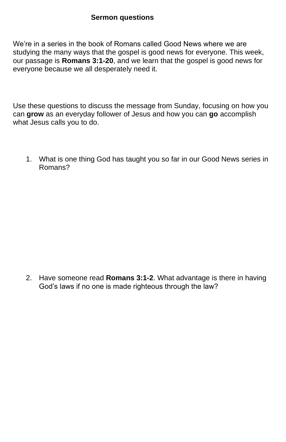We're in a series in the book of Romans called Good News where we are studying the many ways that the gospel is good news for everyone. This week, our passage is **Romans 3:1-20**, and we learn that the gospel is good news for everyone because we all desperately need it.

Use these questions to discuss the message from Sunday, focusing on how you can **grow** as an everyday follower of Jesus and how you can **go** accomplish what Jesus calls you to do.

1. What is one thing God has taught you so far in our Good News series in Romans?

2. Have someone read **Romans 3:1-2**. What advantage is there in having God's laws if no one is made righteous through the law?